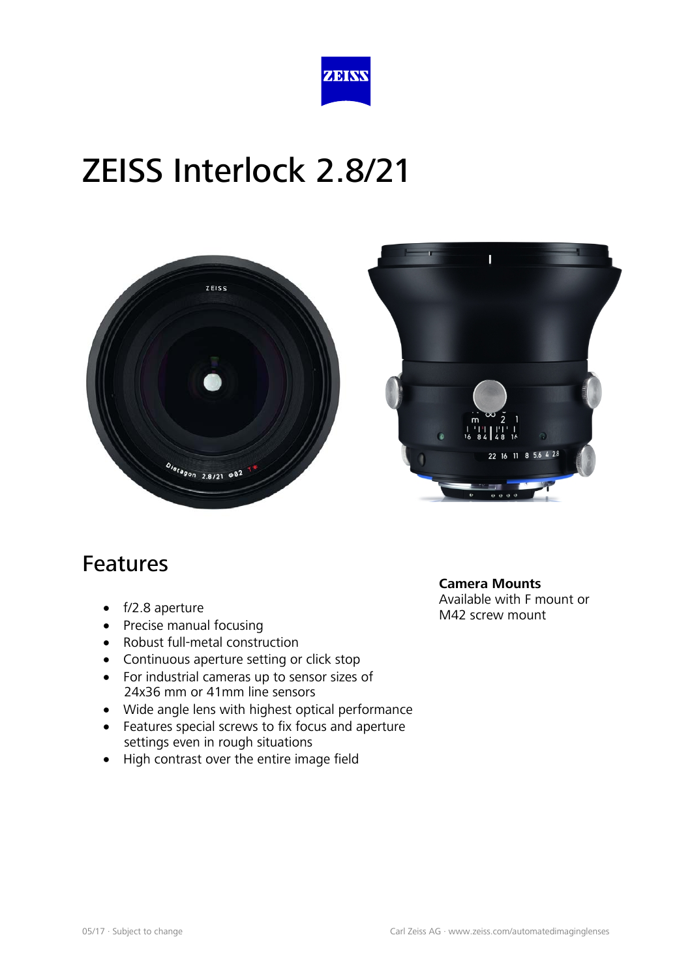





#### Features

- f/2.8 aperture
- Precise manual focusing
- Robust full-metal construction
- Continuous aperture setting or click stop
- For industrial cameras up to sensor sizes of 24x36 mm or 41mm line sensors
- Wide angle lens with highest optical performance
- Features special screws to fix focus and aperture settings even in rough situations
- High contrast over the entire image field

**Camera Mounts** Available with F mount or M42 screw mount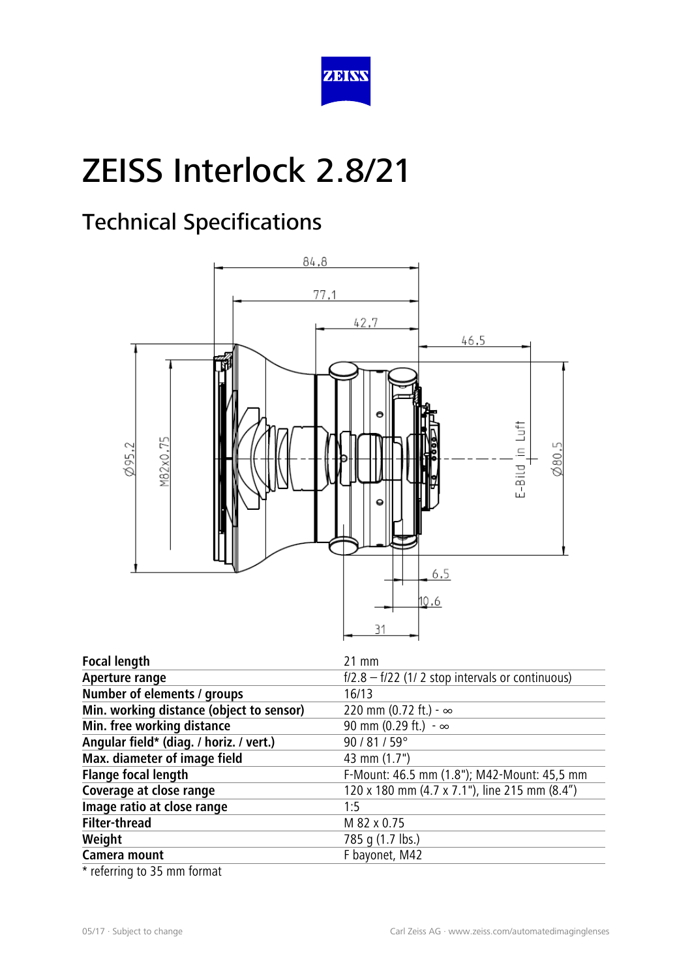

### Technical Specifications



| <b>Focal length</b>                      | 21 mm                                             |
|------------------------------------------|---------------------------------------------------|
| Aperture range                           | $f/2.8 - f/22$ (1/2 stop intervals or continuous) |
| Number of elements / groups              | 16/13                                             |
| Min. working distance (object to sensor) | 220 mm (0.72 ft.) - $\infty$                      |
| Min. free working distance               | 90 mm (0.29 ft.) - $\infty$                       |
| Angular field* (diag. / horiz. / vert.)  | 90 / 81 / 59°                                     |
| Max. diameter of image field             | 43 mm (1.7")                                      |
| <b>Flange focal length</b>               | F-Mount: 46.5 mm (1.8"); M42-Mount: 45,5 mm       |
| Coverage at close range                  | 120 x 180 mm (4.7 x 7.1"), line 215 mm (8.4")     |
| Image ratio at close range               | 1:5                                               |
| <b>Filter-thread</b>                     | M 82 x 0.75                                       |
| Weight                                   | 785 q (1.7 lbs.)                                  |
| Camera mount                             | F bayonet, M42                                    |

\* referring to 35 mm format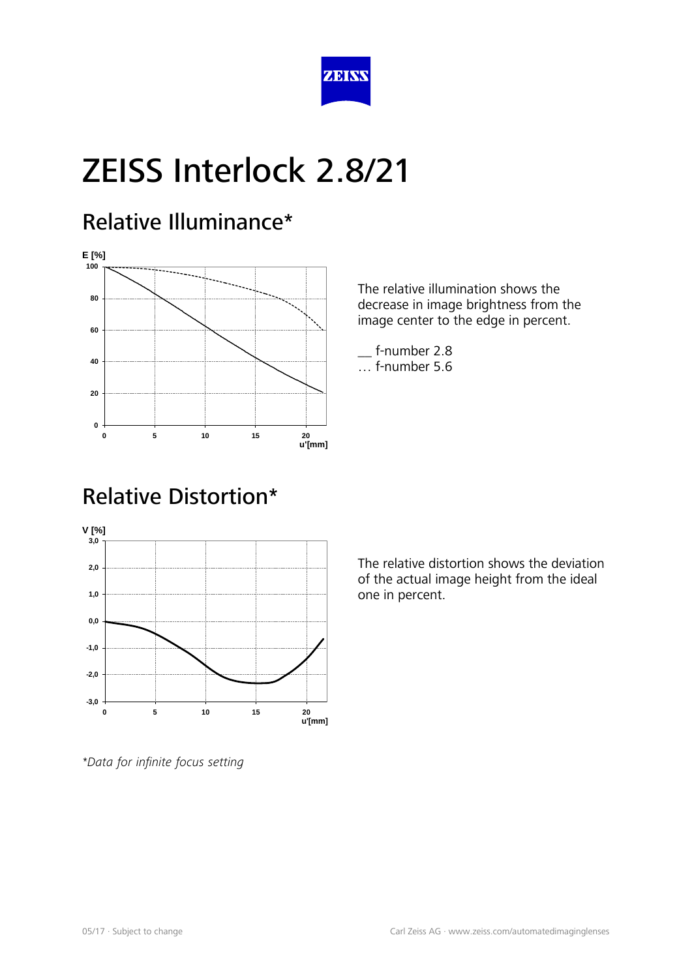

#### Relative Illuminance\*



The relative illumination shows the decrease in image brightness from the image center to the edge in percent.

\_\_ f-number 2.8 … f-number 5.6

### Relative Distortion\*



The relative distortion shows the deviation of the actual image height from the ideal one in percent.

*\*Data for infinite focus setting*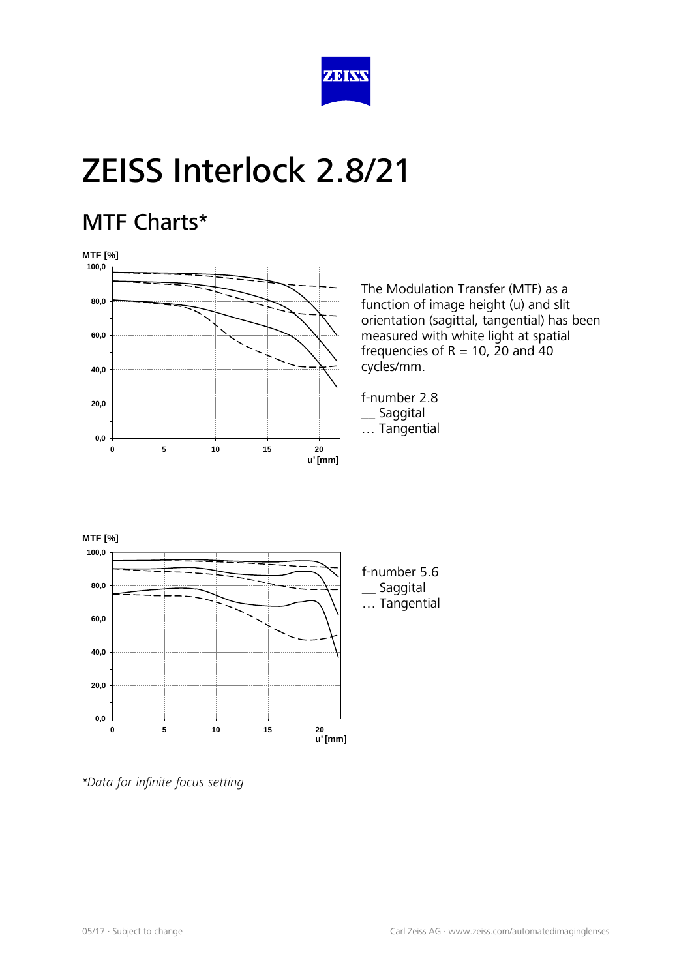

#### MTF Charts\*



The Modulation Transfer (MTF) as a function of image height (u) and slit orientation (sagittal, tangential) has been measured with white light at spatial frequencies of  $R = 10$ , 20 and 40 cycles/mm.

f-number 2.8 \_\_ Saggital … Tangential



*<sup>\*</sup>Data for infinite focus setting*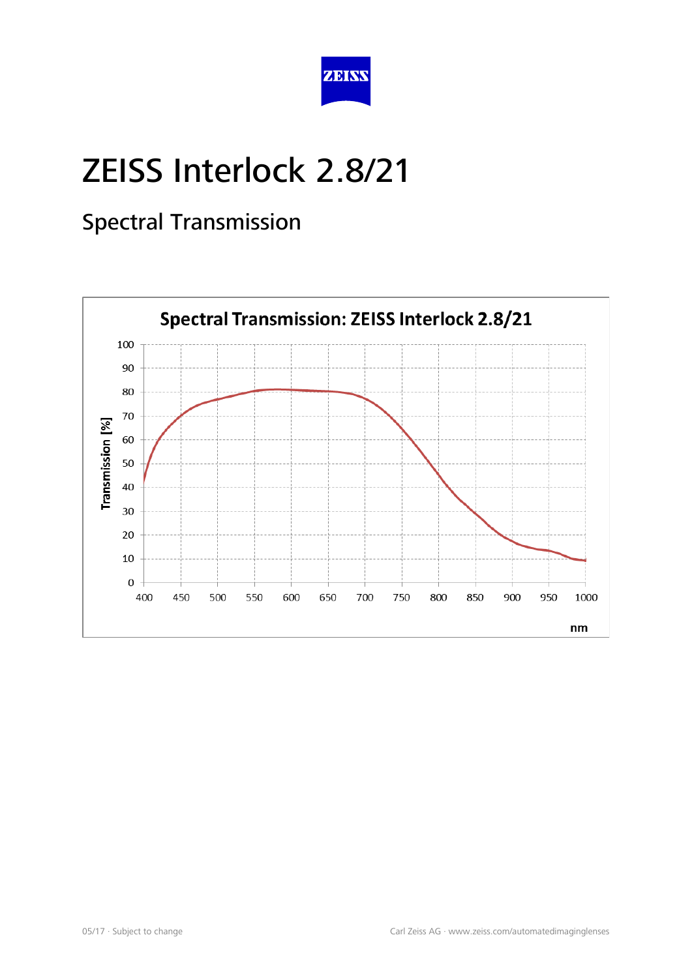

#### Spectral Transmission